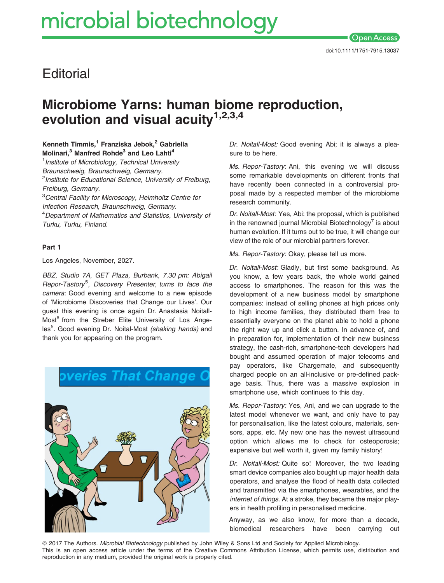# Microbiome Yarns: human biome reproduction, evolution and visual acuity $1,2,3,4$

## Kenneth Timmis, $1$  Franziska Jebok, $2$  Gabriella Molinari,<sup>3</sup> Manfred Rohde<sup>3</sup> and Leo Lahti<sup>4</sup>

<sup>1</sup> Institute of Microbiology, Technical University

Braunschweig, Braunschweig, Germany.

<sup>2</sup>Institute for Educational Science, University of Freiburg, Freiburg, Germany.

<sup>3</sup> Central Facility for Microscopy, Helmholtz Centre for Infection Research, Braunschweig, Germany.

<sup>4</sup>Department of Mathematics and Statistics, University of Turku, Turku, Finland.

## Part 1

Los Angeles, November, 2027.

BBZ, Studio 7A, GET Plaza, Burbank, 7.30 pm: Abigail Repor-Tastory<sup>5</sup>, Discovery Presenter, turns to face the camera: Good evening and welcome to a new episode of 'Microbiome Discoveries that Change our Lives'. Our guest this evening is once again Dr. Anastasia Noitall-Most<sup>6</sup> from the Streber Elite University of Los Angeles<sup>5</sup>. Good evening Dr. Noital-Most *(shaking hands)* and thank you for appearing on the program.



Dr. Noitall-Most: Good evening Abi; it is always a pleasure to be here.

Ms. Repor-Tastory: Ani, this evening we will discuss some remarkable developments on different fronts that have recently been connected in a controversial proposal made by a respected member of the microbiome research community.

Dr. Noitall-Most: Yes, Abi: the proposal, which is published in the renowned journal Microbial Biotechnology<sup>7</sup> is about human evolution. If it turns out to be true, it will change our view of the role of our microbial partners forever.

Ms. Repor-Tastory: Okay, please tell us more.

Dr. Noitall-Most: Gladly, but first some background. As you know, a few years back, the whole world gained access to smartphones. The reason for this was the development of a new business model by smartphone companies: instead of selling phones at high prices only to high income families, they distributed them free to essentially everyone on the planet able to hold a phone the right way up and click a button. In advance of, and in preparation for, implementation of their new business strategy, the cash-rich, smartphone-tech developers had bought and assumed operation of major telecoms and pay operators, like Chargemate, and subsequently charged people on an all-inclusive or pre-defined package basis. Thus, there was a massive explosion in smartphone use, which continues to this day.

Ms. Repor-Tastory: Yes, Ani, and we can upgrade to the latest model whenever we want, and only have to pay for personalisation, like the latest colours, materials, sensors, apps, etc. My new one has the newest ultrasound option which allows me to check for osteoporosis; expensive but well worth it, given my family history!

Dr. Noitall-Most: Quite so! Moreover, the two leading smart device companies also bought up major health data operators, and analyse the flood of health data collected and transmitted via the smartphones, wearables, and the internet of things. At a stroke, they became the major players in health profiling in personalised medicine.

Anyway, as we also know, for more than a decade, biomedical researchers have been carrying out

© 2017 The Authors. Microbial Biotechnology published by John Wiley & Sons Ltd and Society for Applied Microbiology.

This is an open access article under the terms of the Creative Commons Attribution License, which permits use, distribution and reproduction in any medium, provided the original work is properly cited.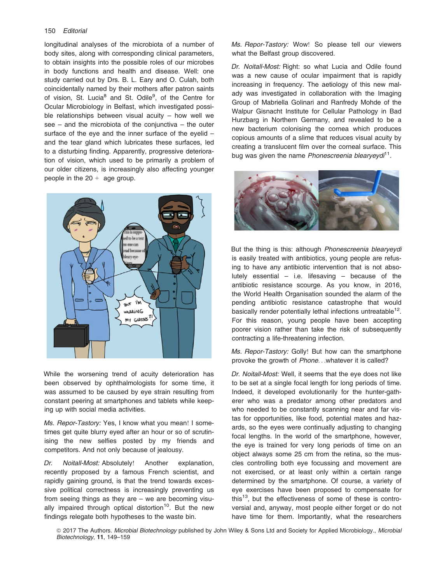longitudinal analyses of the microbiota of a number of body sites, along with corresponding clinical parameters, to obtain insights into the possible roles of our microbes in body functions and health and disease. Well: one study carried out by Drs. B. L. Eary and O. Culah, both coincidentally named by their mothers after patron saints of vision, St. Lucia<sup>8</sup> and St. Odile<sup>9</sup>, of the Centre for Ocular Microbiology in Belfast, which investigated possible relationships between visual acuity – how well we see – and the microbiota of the conjunctiva – the outer surface of the eye and the inner surface of the eyelid – and the tear gland which lubricates these surfaces, led to a disturbing finding. Apparently, progressive deterioration of vision, which used to be primarily a problem of our older citizens, is increasingly also affecting younger people in the  $20 + a$  age group.



While the worsening trend of acuity deterioration has been observed by ophthalmologists for some time, it was assumed to be caused by eye strain resulting from constant peering at smartphones and tablets while keeping up with social media activities.

Ms. Repor-Tastory: Yes, I know what you mean! I sometimes get quite blurry eyed after an hour or so of scrutinising the new selfies posted by my friends and competitors. And not only because of jealousy.

Dr. Noitall-Most: Absolutely! Another explanation, recently proposed by a famous French scientist, and rapidly gaining ground, is that the trend towards excessive political correctness is increasingly preventing us from seeing things as they are – we are becoming visually impaired through optical distortion<sup>10</sup>. But the new findings relegate both hypotheses to the waste bin.

Ms. Repor-Tastory: Wow! So please tell our viewers what the Belfast group discovered.

Dr. Noitall-Most: Right: so what Lucia and Odile found was a new cause of ocular impairment that is rapidly increasing in frequency. The aetiology of this new malady was investigated in collaboration with the Imaging Group of Mabriella Golinari and Ranfredy Mohde of the Walpur Gisnacht Institute for Cellular Pathology in Bad Hurzbarg in Northern Germany, and revealed to be a new bacterium colonising the cornea which produces copious amounts of a slime that reduces visual acuity by creating a translucent film over the corneal surface. This bug was given the name Phonescreenia blearyeydi<sup>11</sup>.



But the thing is this: although Phonescreenia blearyeydi is easily treated with antibiotics, young people are refusing to have any antibiotic intervention that is not absolutely essential – i.e. lifesaving – because of the antibiotic resistance scourge. As you know, in 2016, the World Health Organisation sounded the alarm of the pending antibiotic resistance catastrophe that would basically render potentially lethal infections untreatable<sup>12</sup>. For this reason, young people have been accepting poorer vision rather than take the risk of subsequently contracting a life-threatening infection.

Ms. Repor-Tastory: Golly! But how can the smartphone provoke the growth of Phone...whatever it is called?

Dr. Noitall-Most: Well, it seems that the eye does not like to be set at a single focal length for long periods of time. Indeed, it developed evolutionarily for the hunter-gatherer who was a predator among other predators and who needed to be constantly scanning near and far vistas for opportunities, like food, potential mates and hazards, so the eyes were continually adjusting to changing focal lengths. In the world of the smartphone, however, the eye is trained for very long periods of time on an object always some 25 cm from the retina, so the muscles controlling both eye focussing and movement are not exercised, or at least only within a certain range determined by the smartphone. Of course, a variety of eye exercises have been proposed to compensate for this<sup>13</sup>, but the effectiveness of some of these is controversial and, anyway, most people either forget or do not have time for them. Importantly, what the researchers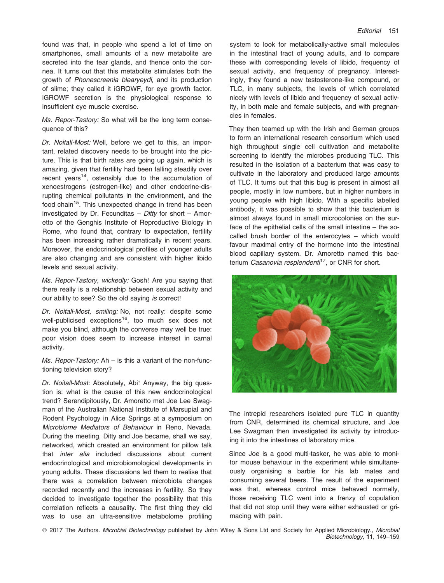found was that, in people who spend a lot of time on smartphones, small amounts of a new metabolite are secreted into the tear glands, and thence onto the cornea. It turns out that this metabolite stimulates both the growth of Phonescreenia blearyeydi, and its production of slime; they called it iGROWF, for eye growth factor. iGROWF secretion is the physiological response to insufficient eye muscle exercise.

Ms. Repor-Tastory: So what will be the long term consequence of this?

Dr. Noitall-Most: Well, before we get to this, an important, related discovery needs to be brought into the picture. This is that birth rates are going up again, which is amazing, given that fertility had been falling steadily over recent years<sup>14</sup>, ostensibly due to the accumulation of xenoestrogens (estrogen-like) and other endocrine-disrupting chemical pollutants in the environment, and the food chain<sup>15</sup>. This unexpected change in trend has been investigated by Dr. Fecunditas  $-$  Ditty for short  $-$  Amoretto of the Genghis Institute of Reproductive Biology in Rome, who found that, contrary to expectation, fertility has been increasing rather dramatically in recent years. Moreover, the endocrinological profiles of younger adults are also changing and are consistent with higher libido levels and sexual activity.

Ms. Repor-Tastory, wickedly: Gosh! Are you saying that there really is a relationship between sexual activity and our ability to see? So the old saying is correct!

Dr. Noitall-Most, smiling: No, not really: despite some well-publicised exceptions<sup>16</sup>, too much sex does not make you blind, although the converse may well be true: poor vision does seem to increase interest in carnal activity.

Ms. Repor-Tastory: Ah – is this a variant of the non-functioning television story?

Dr. Noitall-Most: Absolutely, Abi! Anyway, the big question is: what is the cause of this new endocrinological trend? Serendipitously, Dr. Amoretto met Joe Lee Swagman of the Australian National Institute of Marsupial and Rodent Psychology in Alice Springs at a symposium on Microbiome Mediators of Behaviour in Reno, Nevada. During the meeting, Ditty and Joe became, shall we say, networked, which created an environment for pillow talk that inter alia included discussions about current endocrinological and microbiomological developments in young adults. These discussions led them to realise that there was a correlation between microbiota changes recorded recently and the increases in fertility. So they decided to investigate together the possibility that this correlation reflects a causality. The first thing they did was to use an ultra-sensitive metabolome profiling

system to look for metabolically-active small molecules in the intestinal tract of young adults, and to compare these with corresponding levels of libido, frequency of sexual activity, and frequency of pregnancy. Interestingly, they found a new testosterone-like compound, or TLC, in many subjects, the levels of which correlated nicely with levels of libido and frequency of sexual activity, in both male and female subjects, and with pregnancies in females.

They then teamed up with the Irish and German groups to form an international research consortium which used high throughput single cell cultivation and metabolite screening to identify the microbes producing TLC. This resulted in the isolation of a bacterium that was easy to cultivate in the laboratory and produced large amounts of TLC. It turns out that this bug is present in almost all people, mostly in low numbers, but in higher numbers in young people with high libido. With a specific labelled antibody, it was possible to show that this bacterium is almost always found in small microcolonies on the surface of the epithelial cells of the small intestine – the socalled brush border of the enterocytes – which would favour maximal entry of the hormone into the intestinal blood capillary system. Dr. Amoretto named this bacterium Casanovia resplendenti<sup>17</sup>, or CNR for short.



The intrepid researchers isolated pure TLC in quantity from CNR, determined its chemical structure, and Joe Lee Swagman then investigated its activity by introducing it into the intestines of laboratory mice.

Since Joe is a good multi-tasker, he was able to monitor mouse behaviour in the experiment while simultaneously organising a barbie for his lab mates and consuming several beers. The result of the experiment was that, whereas control mice behaved normally, those receiving TLC went into a frenzy of copulation that did not stop until they were either exhausted or grimacing with pain.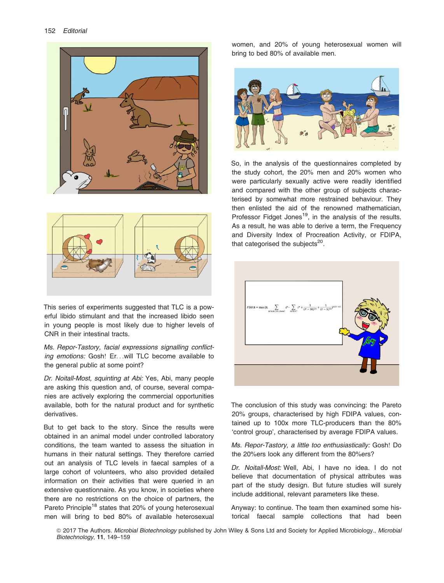



This series of experiments suggested that TLC is a powerful libido stimulant and that the increased libido seen in young people is most likely due to higher levels of CNR in their intestinal tracts.

Ms. Repor-Tastory, facial expressions signalling conflicting emotions: Gosh! Er...will TLC become available to the general public at some point?

Dr. Noitall-Most, squinting at Abi: Yes, Abi, many people are asking this question and, of course, several companies are actively exploring the commercial opportunities available, both for the natural product and for synthetic derivatives.

But to get back to the story. Since the results were obtained in an animal model under controlled laboratory conditions, the team wanted to assess the situation in humans in their natural settings. They therefore carried out an analysis of TLC levels in faecal samples of a large cohort of volunteers, who also provided detailed information on their activities that were queried in an extensive questionnaire. As you know, in societies where there are no restrictions on the choice of partners, the Pareto Principle<sup>18</sup> states that 20% of young heterosexual men will bring to bed 80% of available heterosexual women, and 20% of young heterosexual women will bring to bed 80% of available men.



So, in the analysis of the questionnaires completed by the study cohort, the 20% men and 20% women who were particularly sexually active were readily identified and compared with the other group of subjects characterised by somewhat more restrained behaviour. They then enlisted the aid of the renowned mathematician, Professor Fidget Jones<sup>19</sup>, in the analysis of the results. As a result, he was able to derive a term, the Frequency and Diversity Index of Procreation Activity, or FDIPA, that categorised the subjects $20$ .



The conclusion of this study was convincing: the Pareto 20% groups, characterised by high FDIPA values, contained up to 100x more TLC-producers than the 80% 'control group', characterised by average FDIPA values.

Ms. Repor-Tastory, a little too enthusiastically: Gosh! Do the 20%ers look any different from the 80%ers?

Dr. Noitall-Most: Well, Abi, I have no idea. I do not believe that documentation of physical attributes was part of the study design. But future studies will surely include additional, relevant parameters like these.

Anyway: to continue. The team then examined some historical faecal sample collections that had been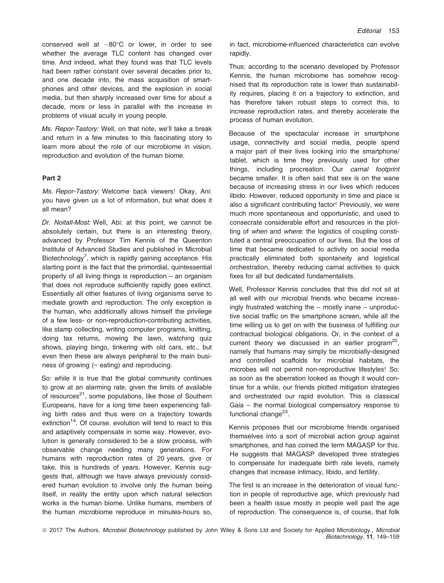conserved well at  $-80^{\circ}$ C or lower, in order to see whether the average TLC content has changed over time. And indeed, what they found was that TLC levels had been rather constant over several decades prior to, and one decade into, the mass acquisition of smartphones and other devices, and the explosion in social media, but then sharply increased over time for about a decade, more or less in parallel with the increase in problems of visual acuity in young people.

Ms. Repor-Tastory: Well, on that note, we'll take a break and return in a few minutes to this fascinating story to learn more about the role of our microbiome in vision, reproduction and evolution of the human biome.

### Part 2

Ms. Repor-Tastory: Welcome back viewers! Okay, Ani: you have given us a lot of information, but what does it all mean?

Dr. Noitall-Most: Well, Abi: at this point, we cannot be absolutely certain, but there is an interesting theory, advanced by Professor Tim Kennis of the Queenton Institute of Advanced Studies and published in Microbial Biotechnology<sup>7</sup>, which is rapidly gaining acceptance. His starting point is the fact that the primordial, quintessential property of all living things is reproduction – an organism that does not reproduce sufficiently rapidly goes extinct. Essentially all other features of living organisms serve to mediate growth and reproduction. The only exception is the human, who additionally allows himself the privilege of a few less- or non-reproduction-contributing activities, like stamp collecting, writing computer programs, knitting, doing tax returns, mowing the lawn, watching quiz shows, playing bingo, tinkering with old cars, etc., but even then these are always peripheral to the main business of growing (= eating) and reproducing.

So: while it is true that the global community continues to grow at an alarming rate, given the limits of available of resources $^{21}$ , some populations, like those of Southern Europeans, have for a long time been experiencing falling birth rates and thus were on a trajectory towards extinction<sup>14</sup>. Of course, evolution will tend to react to this and adaptively compensate in some way. However, evolution is generally considered to be a slow process, with observable change needing many generations. For humans with reproduction rates of 20 years, give or take, this is hundreds of years. However, Kennis suggests that, although we have always previously considered human evolution to involve only the human being itself, in reality the entity upon which natural selection works is the human biome. Unlike humans, members of the human microbiome reproduce in minutes-hours so,

in fact, microbiome-influenced characteristics can evolve rapidly.

Thus: according to the scenario developed by Professor Kennis, the human microbiome has somehow recognised that its reproduction rate is lower than sustainability requires, placing it on a trajectory to extinction, and has therefore taken robust steps to correct this, to increase reproduction rates, and thereby accelerate the process of human evolution.

Because of the spectacular increase in smartphone usage, connectivity and social media, people spend a major part of their lives looking into the smartphone/ tablet, which is time they previously used for other things, including procreation. Our carnal footprint became smaller. It is often said that sex is on the wane because of increasing stress in our lives which reduces libido. However, reduced opportunity in time and place is also a significant contributing factor! Previously, we were much more spontaneous and opportunistic, and used to consecrate considerable effort and resources in the plotting of when and where: the logistics of coupling constituted a central preoccupation of our lives. But the loss of time that became dedicated to activity on social media practically eliminated both spontaneity and logistical orchestration, thereby reducing carnal activities to quick fixes for all but dedicated fundamentalists.

Well, Professor Kennis concludes that this did not sit at all well with our microbial friends who became increasingly frustrated watching the – mostly inane – unproductive social traffic on the smartphone screen, while all the time willing us to get on with the business of fulfilling our contractual biological obligations. Or, in the context of a current theory we discussed in an earlier program<sup>22</sup>, namely that humans may simply be microbially-designed and controlled scaffolds for microbial habitats, the microbes will not permit non-reproductive lifestyles! So: as soon as the aberration looked as though it would continue for a while, our friends plotted mitigation strategies and orchestrated our rapid evolution. This is classical Gaia – the normal biological compensatory response to functional change<sup>23</sup>.

Kennis proposes that our microbiome friends organised themselves into a sort of microbial action group against smartphones, and has coined the term MAGASP for this. He suggests that MAGASP developed three strategies to compensate for inadequate birth rate levels, namely changes that increase intimacy, libido, and fertility.

The first is an increase in the deterioration of visual function in people of reproductive age, which previously had been a health issue mostly in people well past the age of reproduction. The consequence is, of course, that folk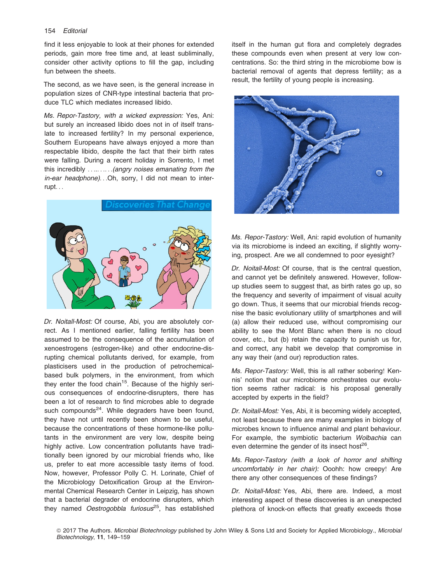find it less enjoyable to look at their phones for extended periods, gain more free time and, at least subliminally, consider other activity options to fill the gap, including fun between the sheets.

The second, as we have seen, is the general increase in population sizes of CNR-type intestinal bacteria that produce TLC which mediates increased libido.

Ms. Repor-Tastory, with a wicked expression: Yes, Ani: but surely an increased libido does not in of itself translate to increased fertility? In my personal experience, Southern Europeans have always enjoyed a more than respectable libido, despite the fact that their birth rates were falling. During a recent holiday in Sorrento, I met this incredibly ......... (angry noises emanating from the in-ear headphone)...Oh, sorry, I did not mean to interrupt...



Dr. Noitall-Most: Of course, Abi, you are absolutely correct. As I mentioned earlier, falling fertility has been assumed to be the consequence of the accumulation of xenoestrogens (estrogen-like) and other endocrine-disrupting chemical pollutants derived, for example, from plasticisers used in the production of petrochemicalbased bulk polymers, in the environment, from which they enter the food chain<sup>15</sup>. Because of the highly serious consequences of endocrine-disrupters, there has been a lot of research to find microbes able to degrade such compounds $^{24}$ . While degraders have been found, they have not until recently been shown to be useful, because the concentrations of these hormone-like pollutants in the environment are very low, despite being highly active. Low concentration pollutants have traditionally been ignored by our microbial friends who, like us, prefer to eat more accessible tasty items of food. Now, however, Professor Polly C. H. Lorinate, Chief of the Microbiology Detoxification Group at the Environmental Chemical Research Center in Leipzig, has shown that a bacterial degrader of endocrine disrupters, which they named Oestrogobbla furiosus<sup>25</sup>, has established

itself in the human gut flora and completely degrades these compounds even when present at very low concentrations. So: the third string in the microbiome bow is bacterial removal of agents that depress fertility; as a result, the fertility of young people is increasing.



Ms. Repor-Tastory: Well, Ani: rapid evolution of humanity via its microbiome is indeed an exciting, if slightly worrying, prospect. Are we all condemned to poor eyesight?

Dr. Noitall-Most: Of course, that is the central question, and cannot yet be definitely answered. However, followup studies seem to suggest that, as birth rates go up, so the frequency and severity of impairment of visual acuity go down. Thus, it seems that our microbial friends recognise the basic evolutionary utility of smartphones and will (a) allow their reduced use, without compromising our ability to see the Mont Blanc when there is no cloud cover, etc., but (b) retain the capacity to punish us for, and correct, any habit we develop that compromise in any way their (and our) reproduction rates.

Ms. Repor-Tastory: Well, this is all rather sobering! Kennis' notion that our microbiome orchestrates our evolution seems rather radical: is his proposal generally accepted by experts in the field?

Dr. Noitall-Most: Yes, Abi, it is becoming widely accepted, not least because there are many examples in biology of microbes known to influence animal and plant behaviour. For example, the symbiotic bacterium Wolbachia can even determine the gender of its insect host $26$ .

Ms. Repor-Tastory (with a look of horror and shifting uncomfortably in her chair): Ooohh: how creepy! Are there any other consequences of these findings?

Dr. Noitall-Most: Yes, Abi, there are. Indeed, a most interesting aspect of these discoveries is an unexpected plethora of knock-on effects that greatly exceeds those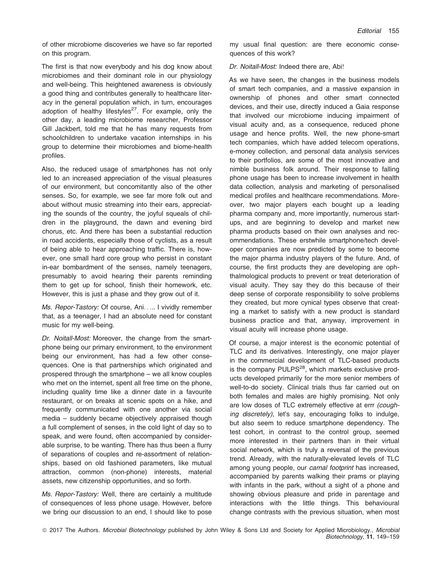of other microbiome discoveries we have so far reported on this program.

The first is that now everybody and his dog know about microbiomes and their dominant role in our physiology and well-being. This heightened awareness is obviously a good thing and contributes generally to healthcare literacy in the general population which, in turn, encourages adoption of healthy lifestyles $27$ . For example, only the other day, a leading microbiome researcher, Professor Gill Jackbert, told me that he has many requests from schoolchildren to undertake vacation internships in his group to determine their microbiomes and biome-health profiles.

Also, the reduced usage of smartphones has not only led to an increased appreciation of the visual pleasures of our environment, but concomitantly also of the other senses. So, for example, we see far more folk out and about without music streaming into their ears, appreciating the sounds of the country, the joyful squeals of children in the playground, the dawn and evening bird chorus, etc. And there has been a substantial reduction in road accidents, especially those of cyclists, as a result of being able to hear approaching traffic. There is, however, one small hard core group who persist in constant in-ear bombardment of the senses, namely teenagers, presumably to avoid hearing their parents reminding them to get up for school, finish their homework, etc. However, this is just a phase and they grow out of it.

Ms. Repor-Tastory: Of course, Ani..... I vividly remember that, as a teenager, I had an absolute need for constant music for my well-being.

Dr. Noitall-Most: Moreover, the change from the smartphone being our primary environment, to the environment being our environment, has had a few other consequences. One is that partnerships which originated and prospered through the smartphone – we all know couples who met on the internet, spent all free time on the phone, including quality time like a dinner date in a favourite restaurant, or on breaks at scenic spots on a hike, and frequently communicated with one another via social media – suddenly became objectively appraised though a full complement of senses, in the cold light of day so to speak, and were found, often accompanied by considerable surprise, to be wanting. There has thus been a flurry of separations of couples and re-assortment of relationships, based on old fashioned parameters, like mutual attraction, common (non-phone) interests, material assets, new citizenship opportunities, and so forth.

Ms. Repor-Tastory: Well, there are certainly a multitude of consequences of less phone usage. However, before we bring our discussion to an end, I should like to pose my usual final question: are there economic consequences of this work?

#### Dr. Noitall-Most: Indeed there are, Abi!

As we have seen, the changes in the business models of smart tech companies, and a massive expansion in ownership of phones and other smart connected devices, and their use, directly induced a Gaia response that involved our microbiome inducing impairment of visual acuity and, as a consequence, reduced phone usage and hence profits. Well, the new phone-smart tech companies, which have added telecom operations, e-money collection, and personal data analysis services to their portfolios, are some of the most innovative and nimble business folk around. Their response to falling phone usage has been to increase involvement in health data collection, analysis and marketing of personalised medical profiles and healthcare recommendations. Moreover, two major players each bought up a leading pharma company and, more importantly, numerous startups, and are beginning to develop and market new pharma products based on their own analyses and recommendations. These erstwhile smartphone/tech developer companies are now predicted by some to become the major pharma industry players of the future. And, of course, the first products they are developing are ophthalmological products to prevent or treat deterioration of visual acuity. They say they do this because of their deep sense of corporate responsibility to solve problems they created, but more cynical types observe that creating a market to satisfy with a new product is standard business practice and that, anyway, improvement in visual acuity will increase phone usage.

Of course, a major interest is the economic potential of TLC and its derivatives. Interestingly, one major player in the commercial development of TLC-based products is the company PULPS<sup>28</sup>, which markets exclusive products developed primarily for the more senior members of well-to-do society. Clinical trials thus far carried out on both females and males are highly promising. Not only are low doses of TLC extremely effective at errr (coughing discretely), let's say, encouraging folks to indulge, but also seem to reduce smartphone dependency. The test cohort, in contrast to the control group, seemed more interested in their partners than in their virtual social network, which is truly a reversal of the previous trend. Already, with the naturally-elevated levels of TLC among young people, our carnal footprint has increased, accompanied by parents walking their prams or playing with infants in the park, without a sight of a phone and showing obvious pleasure and pride in parentage and interactions with the little things. This behavioural change contrasts with the previous situation, when most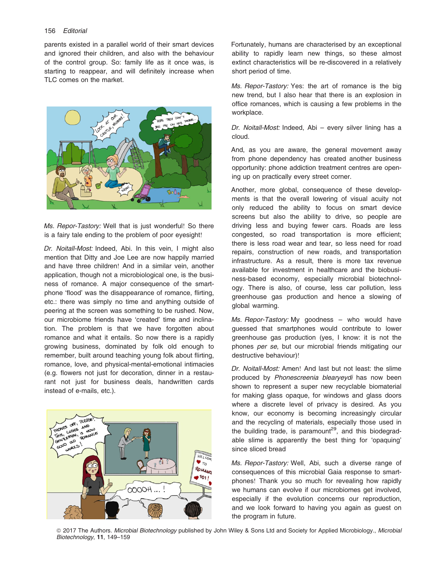parents existed in a parallel world of their smart devices and ignored their children, and also with the behaviour of the control group. So: family life as it once was, is starting to reappear, and will definitely increase when TLC comes on the market.



Ms. Repor-Tastory: Well that is just wonderful! So there is a fairy tale ending to the problem of poor eyesight!

Dr. Noitall-Most: Indeed, Abi. In this vein, I might also mention that Ditty and Joe Lee are now happily married and have three children! And in a similar vein, another application, though not a microbiological one, is the business of romance. A major consequence of the smartphone 'flood' was the disappearance of romance, flirting, etc.: there was simply no time and anything outside of peering at the screen was something to be rushed. Now, our microbiome friends have 'created' time and inclination. The problem is that we have forgotten about romance and what it entails. So now there is a rapidly growing business, dominated by folk old enough to remember, built around teaching young folk about flirting, romance, love, and physical-mental-emotional intimacies (e.g. flowers not just for decoration, dinner in a restaurant not just for business deals, handwritten cards instead of e-mails, etc.).



Fortunately, humans are characterised by an exceptional ability to rapidly learn new things, so these almost extinct characteristics will be re-discovered in a relatively short period of time.

Ms. Repor-Tastory: Yes: the art of romance is the big new trend, but I also hear that there is an explosion in office romances, which is causing a few problems in the workplace.

Dr. Noitall-Most: Indeed, Abi – every silver lining has a cloud.

And, as you are aware, the general movement away from phone dependency has created another business opportunity: phone addiction treatment centres are opening up on practically every street corner.

Another, more global, consequence of these developments is that the overall lowering of visual acuity not only reduced the ability to focus on smart device screens but also the ability to drive, so people are driving less and buying fewer cars. Roads are less congested, so road transportation is more efficient; there is less road wear and tear, so less need for road repairs, construction of new roads, and transportation infrastructure. As a result, there is more tax revenue available for investment in healthcare and the biobusiness-based economy, especially microbial biotechnology. There is also, of course, less car pollution, less greenhouse gas production and hence a slowing of global warming.

Ms. Repor-Tastory: My goodness - who would have guessed that smartphones would contribute to lower greenhouse gas production (yes, I know: it is not the phones per se, but our microbial friends mitigating our destructive behaviour)!

Dr. Noitall-Most: Amen! And last but not least: the slime produced by Phonescreenia blearyeydi has now been shown to represent a super new recyclable biomaterial for making glass opaque, for windows and glass doors where a discrete level of privacy is desired. As you know, our economy is becoming increasingly circular and the recycling of materials, especially those used in the building trade, is paramount<sup>29</sup>, and this biodegradable slime is apparently the best thing for 'opaquing' since sliced bread

Ms. Repor-Tastory: Well, Abi, such a diverse range of consequences of this microbial Gaia response to smartphones! Thank you so much for revealing how rapidly we humans can evolve if our microbiomes get involved, especially if the evolution concerns our reproduction, and we look forward to having you again as guest on the program in future.

© 2017 The Authors. Microbial Biotechnology published by John Wiley & Sons Ltd and Society for Applied Microbiology., Microbial Biotechnology, 11, 149–159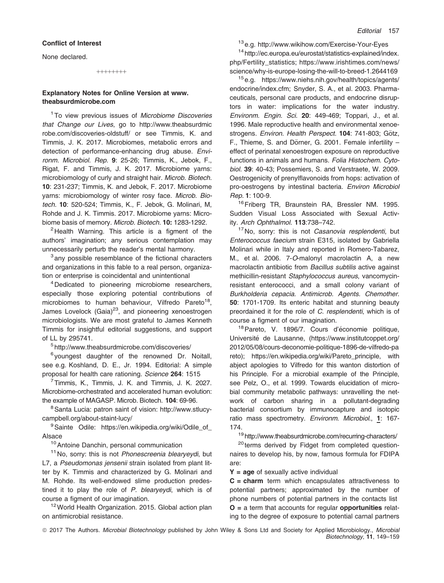#### Conflict of Interest

None declared.

++++++++

### Explanatory Notes for Online Version at [www.](http://www.theabsurdmicrobe.com) [theabsurdmicrobe.com](http://www.theabsurdmicrobe.com)

<sup>1</sup>To view previous issues of Microbiome Discoveries that Change our Lives, go to [http://www.theabsurdmic](http://www.theabsurdmicrobe.com/discoveries-oldstuff/) [robe.com/discoveries-oldstuff/](http://www.theabsurdmicrobe.com/discoveries-oldstuff/) or see Timmis, K. and Timmis, J. K. 2017. Microbiomes, metabolic errors and detection of performance-enhancing drug abuse. Environm. Microbiol. Rep. 9: 25-26; Timmis, K., Jebok, F., Rigat, F. and Timmis, J. K. 2017. Microbiome yarns: microbiomology of curly and straight hair. Microb. Biotech. 10: 231-237; Timmis, K. and Jebok, F. 2017. Microbiome yarns: microbiomology of winter rosy face. Microb. Biotech. 10: 520-524; Timmis, K., F. Jebok, G. Molinari, M, Rohde and J. K. Timmis. 2017. Microbiome yarns: Microbiome basis of memory. Microb. Biotech. 10: 1283-1292.

 $2$ Health Warning. This article is a figment of the authors' imagination; any serious contemplation may unnecessarily perturb the reader's mental harmony.

<sup>3</sup> any possible resemblance of the fictional characters and organizations in this fable to a real person, organization or enterprise is coincidental and unintentional

4Dedicated to pioneering microbiome researchers, especially those exploring potential contributions of microbiomes to human behaviour, Vilfredo Pareto<sup>18</sup>, James Lovelock (Gaia) $^{23}$ , and pioneering xenoestrogen microbiologists. We are most grateful to James Kenneth Timmis for insightful editorial suggestions, and support of LL by 295741.

<sup>5</sup> http://www.theabsurdmicrobe.com/discoveries/

<sup>6</sup> youngest daughter of the renowned Dr. Noitall, see e.g. Koshland, D. E., Jr. 1994. Editorial: A simple proposal for health care rationing. Science 264: 1515

 $7$ Timmis, K., Timmis, J. K. and Timmis, J. K. 2027. Microbiome-orchestrated and accelerated human evolution: the example of MAGASP. Microb. Biotech. 104: 69-96.

8Santa Lucia: patron saint of vision: [http://www.stlucy](http://www.stlucy-campbell.org/about-staint-lucy/)[campbell.org/about-staint-lucy/](http://www.stlucy-campbell.org/about-staint-lucy/)

<sup>9</sup> Sainte Odile: https://en.wikipedia.org/wiki/Odile\_of [Alsace](https://en.wikipedia.org/wiki/Odile_of_Alsace)

<sup>10</sup> Antoine Danchin, personal communication

 $11$ No, sorry: this is not *Phonescreenia blearyeydi*, but L7, a Pseudomonas jensenii strain isolated from plant litter by K. Timmis and characterized by G. Molinari and M. Rohde. Its well-endowed slime production predestined it to play the role of P. blearyeydi, which is of course a figment of our imagination.

<sup>12</sup> World Health Organization. 2015. Global action plan on antimicrobial resistance.

<sup>13</sup> e.g.<http://www.wikihow.com/Exercise-Your-Eyes>

<sup>14</sup> [http://ec.europa.eu/eurostat/statistics-explained/index.](http://ec.europa.eu/eurostat/statistics-explained/index.php/Fertility_statistics) [php/Fertility\\_statistics;](http://ec.europa.eu/eurostat/statistics-explained/index.php/Fertility_statistics) [https://www.irishtimes.com/news/](https://www.irishtimes.com/news/science/why-is-europe-losing-the-will-to-breed-1.2644169) [science/why-is-europe-losing-the-will-to-breed-1.2644169](https://www.irishtimes.com/news/science/why-is-europe-losing-the-will-to-breed-1.2644169)

<sup>15</sup> e.g. [https://www.niehs.nih.gov/health/topics/agents/](https://www.niehs.nih.gov/health/topics/agents/endocrine/index.cfm) [endocrine/index.cfm;](https://www.niehs.nih.gov/health/topics/agents/endocrine/index.cfm) Snyder, S. A., et al. 2003. Pharmaceuticals, personal care products, and endocrine disruptors in water: implications for the water industry. Environm. Engin. Sci. 20: 449-469; Toppari, J., et al. 1996. Male reproductive health and environmental xenoestrogens. Environ. Health Perspect. 104: 741-803; Götz, F., Thieme, S. and Dörner, G. 2001. Female infertility  $$ effect of perinatal xenoestrogen exposure on reproductive functions in animals and humans. Folia Histochem. Cytobiol. 39: 40-43: Possemiers, S. and Verstraete, W. 2009. Oestrogenicity of prenylflavonoids from hops: activation of pro-oestrogens by intestinal bacteria. Environ Microbiol Rep. 1: 100-9.

<sup>16</sup> Friberg TR, Braunstein RA, Bressler NM. 1995. Sudden Visual Loss Associated with Sexual Activity. Arch Ophthalmol. 113:738–742.

 $17$ No, sorry: this is not Casanovia resplendenti, but Enterococcus faecium strain E315, isolated by Gabriella Molinari while in Italy and reported in Romero-Tabarez, M., et al. 2006. 7-O-malonyl macrolactin A, a new macrolactin antibiotic from Bacillus subtilis active against methicillin-resistant Staphylococcus aureus, vancomycinresistant enterococci, and a small colony variant of Burkholderia cepacia. Antimicrob. Agents. Chemother. 50: 1701-1709. Its enteric habitat and stunning beauty preordained it for the role of C. resplendenti, which is of course a figment of our imagination.

<sup>18</sup> Pareto, V. 1896/7. Cours d'économie politique, Université de Lausanne, [\(https://www.institutcoppet.org/](https://www.institutcoppet.org/2012/05/08/cours-deconomie-politique-1896-de-vilfredo-pareto) [2012/05/08/cours-deconomie-politique-1896-de-vilfredo-pa](https://www.institutcoppet.org/2012/05/08/cours-deconomie-politique-1896-de-vilfredo-pareto) [reto](https://www.institutcoppet.org/2012/05/08/cours-deconomie-politique-1896-de-vilfredo-pareto)); [https://en.wikipedia.org/wiki/Pareto\\_principle,](https://en.wikipedia.org/wiki/Pareto_principle) with abject apologies to Vilfredo for this wanton distortion of his Principle. For a microbial example of the Principle, see Pelz, O., et al. 1999. Towards elucidation of microbial community metabolic pathways: unravelling the network of carbon sharing in a pollutant-degrading bacterial consortium by immunocapture and isotopic ratio mass spectrometry. Environm. Microbiol., 1: 167- 174.

<sup>19</sup> <http://www.theabsurdmicrobe.com/recurring-characters/>

<sup>20</sup> terms derived by Fidget from completed questionnaires to develop his, by now, famous formula for FDIPA are:

 $Y = aqe$  of sexually active individual

 $C =$  charm term which encapsulates attractiveness to potential partners; approximated by the number of phone numbers of potential partners in the contacts list  $O = a$  term that accounts for regular **opportunities** relating to the degree of exposure to potential carnal partners

<sup>© 2017</sup> The Authors. Microbial Biotechnology published by John Wiley & Sons Ltd and Society for Applied Microbiology., Microbial Biotechnology, 11, 149–159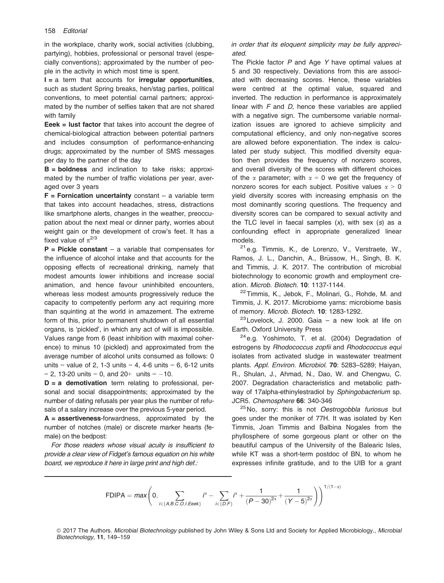in the workplace, charity work, social activities (clubbing, partying), hobbies, professional or personal travel (especially conventions); approximated by the number of people in the activity in which most time is spent.

 $I = a$  term that accounts for **irrequiar opportunities**. such as student Spring breaks, hen/stag parties, political conventions, to meet potential carnal partners; approximated by the number of selfies taken that are not shared with family

Eeek = lust factor that takes into account the degree of chemical-biological attraction between potential partners and includes consumption of performance-enhancing drugs; approximated by the number of SMS messages per day to the partner of the day

B = boldness and inclination to take risks; approximated by the number of traffic violations per year, averaged over 3 years

 $F =$  Fornication uncertainty constant  $-$  a variable term that takes into account headaches, stress, distractions like smartphone alerts, changes in the weather, preoccupation about the next meal or dinner party, worries about weight gain or the development of crow's feet. It has a fixed value of  $\pi^{2/3}$ 

 $P =$  Pickle constant – a variable that compensates for the influence of alcohol intake and that accounts for the opposing effects of recreational drinking, namely that modest amounts lower inhibitions and increase social animation, and hence favour uninhibited encounters, whereas less modest amounts progressively reduce the capacity to competently perform any act requiring more than squinting at the world in amazement. The extreme form of this, prior to permanent shutdown of all essential organs, is 'pickled', in which any act of will is impossible. Values range from 6 (least inhibition with maximal coherence) to minus 10 (pickled) and approximated from the average number of alcohol units consumed as follows: 0 units = value of 2, 1-3 units = 4, 4-6 units = 6, 6-12 units  $= 2$ , 13-20 units  $= 0$ , and 20+ units  $= -10$ .

 $D = a$  demotivation term relating to professional, personal and social disappointments; approximated by the number of dating refusals per year plus the number of refusals of a salary increase over the previous 5-year period.

A = assertiveness-forwardness, approximated by the number of notches (male) or discrete marker hearts (female) on the bedpost:

For those readers whose visual acuity is insufficient to provide a clear view of Fidget's famous equation on his white board, we reproduce it here in large print and high def.:

in order that its eloquent simplicity may be fully appreciated.

The Pickle factor P and Age Y have optimal values at 5 and 30 respectively. Deviations from this are associated with decreasing scores. Hence, these variables were centred at the optimal value, squared and inverted. The reduction in performance is approximately linear with  $F$  and  $D$ , hence these variables are applied with a negative sign. The cumbersome variable normalization issues are ignored to achieve simplicity and computational efficiency, and only non-negative scores are allowed before exponentiation. The index is calculated per study subject. This modified diversity equation then provides the frequency of nonzero scores, and overall diversity of the scores with different choices of the  $\alpha$  parameter; with  $\alpha = 0$  we get the frequency of nonzero scores for each subject. Positive values  $\alpha > 0$ yield diversity scores with increasing emphasis on the most dominantly scoring questions. The frequency and diversity scores can be compared to sexual activity and the TLC level in faecal samples  $(x)$ , with sex  $(s)$  as a confounding effect in appropriate generalized linear models.

 $21$  e.g. Timmis, K., de Lorenzo, V., Verstraete, W., Ramos, J. L., Danchin, A., Brüssow, H., Singh, B. K. and Timmis, J. K. 2017. The contribution of microbial biotechnology to economic growth and employment creation. Microb. Biotech. 10: 1137-1144.

<sup>22</sup> Timmis, K., Jebok, F., Molinari, G., Rohde, M. and Timmis, J. K. 2017. Microbiome yarns: microbiome basis of memory. Microb. Biotech. 10: 1283-1292.

 $23$  Lovelock, J. 2000. Gaia – a new look at life on Earth. Oxford University Press

 $24$  e.g. Yoshimoto, T. et al. (2004) Degradation of estrogens by Rhodococcus zopfii and Rhodococcus equi isolates from activated sludge in wastewater treatment plants. Appl. Environ. Microbiol. 70: 5283–5289; Haiyan, R., Shulan, J., Ahmad, N., Dao, W. and Chengwu, C. 2007. Degradation characteristics and metabolic pathway of 17alpha-ethinylestradiol by Sphingobacterium sp. JCR5. Chemosphere 66: 340-346

 $^{25}$ No, sorry: this is not *Oestrogobbla furiosus* but goes under the moniker of 77H. It was isolated by Ken Timmis, Joan Timmis and Balbina Nogales from the phyllosphere of some gorgeous plant or other on the beautiful campus of the University of the Balearic Isles, while KT was a short-term postdoc of BN, to whom he expresses infinite gratitude, and to the UIB for a grant

$$
\text{FDIPA} = \max \left( 0, \sum_{i \in \{A, B, C, O, I, E e e k\}} i^{\alpha} - \sum_{i \in \{D, F\}} i^{\alpha} + \frac{1}{(P - 30)^{2\alpha}} + \frac{1}{(Y - 5)^{2\alpha}} \right) \right)^{1/(1 - \alpha)}
$$

<sup>© 2017</sup> The Authors. Microbial Biotechnology published by John Wiley & Sons Ltd and Society for Applied Microbiology., Microbial Biotechnology, 11, 149–159